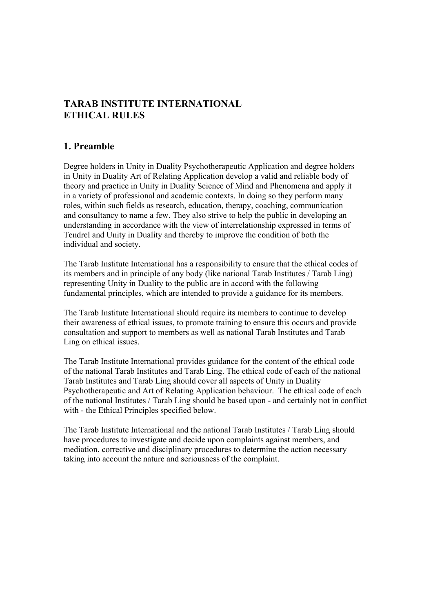# **TARAB INSTITUTE INTERNATIONAL ETHICAL RULES**

# **1. Preamble**

Degree holders in Unity in Duality Psychotherapeutic Application and degree holders in Unity in Duality Art of Relating Application develop a valid and reliable body of theory and practice in Unity in Duality Science of Mind and Phenomena and apply it in a variety of professional and academic contexts. In doing so they perform many roles, within such fields as research, education, therapy, coaching, communication and consultancy to name a few. They also strive to help the public in developing an understanding in accordance with the view of interrelationship expressed in terms of Tendrel and Unity in Duality and thereby to improve the condition of both the individual and society.

The Tarab Institute International has a responsibility to ensure that the ethical codes of its members and in principle of any body (like national Tarab Institutes / Tarab Ling) representing Unity in Duality to the public are in accord with the following fundamental principles, which are intended to provide a guidance for its members.

The Tarab Institute International should require its members to continue to develop their awareness of ethical issues, to promote training to ensure this occurs and provide consultation and support to members as well as national Tarab Institutes and Tarab Ling on ethical issues.

The Tarab Institute International provides guidance for the content of the ethical code of the national Tarab Institutes and Tarab Ling. The ethical code of each of the national Tarab Institutes and Tarab Ling should cover all aspects of Unity in Duality Psychotherapeutic and Art of Relating Application behaviour. The ethical code of each of the national Institutes / Tarab Ling should be based upon - and certainly not in conflict with - the Ethical Principles specified below.

The Tarab Institute International and the national Tarab Institutes / Tarab Ling should have procedures to investigate and decide upon complaints against members, and mediation, corrective and disciplinary procedures to determine the action necessary taking into account the nature and seriousness of the complaint.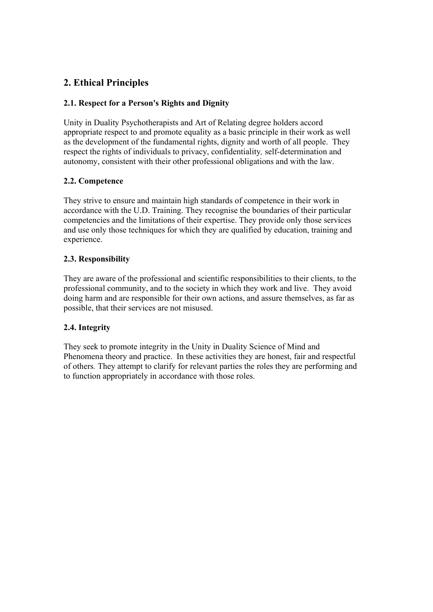# **2. Ethical Principles**

# **2.1. Respect for a Person's Rights and Dignity**

Unity in Duality Psychotherapists and Art of Relating degree holders accord appropriate respect to and promote equality as a basic principle in their work as well as the development of the fundamental rights, dignity and worth of all people. They respect the rights of individuals to privacy, confidentiality*,* self-determination and autonomy, consistent with their other professional obligations and with the law.

# **2.2. Competence**

They strive to ensure and maintain high standards of competence in their work in accordance with the U.D. Training. They recognise the boundaries of their particular competencies and the limitations of their expertise. They provide only those services and use only those techniques for which they are qualified by education, training and experience.

# **2.3. Responsibility**

They are aware of the professional and scientific responsibilities to their clients, to the professional community, and to the society in which they work and live. They avoid doing harm and are responsible for their own actions, and assure themselves, as far as possible, that their services are not misused.

# **2.4. Integrity**

They seek to promote integrity in the Unity in Duality Science of Mind and Phenomena theory and practice. In these activities they are honest, fair and respectful of others*.* They attempt to clarify for relevant parties the roles they are performing and to function appropriately in accordance with those roles.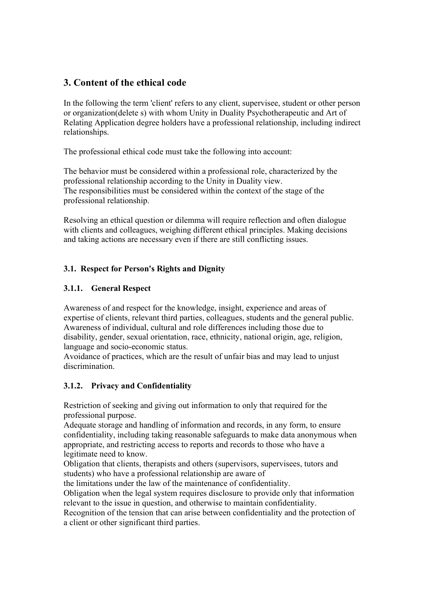# **3. Content of the ethical code**

In the following the term 'client' refers to any client, supervisee, student or other person or organization(delete s) with whom Unity in Duality Psychotherapeutic and Art of Relating Application degree holders have a professional relationship, including indirect relationships.

The professional ethical code must take the following into account:

The behavior must be considered within a professional role, characterized by the professional relationship according to the Unity in Duality view. The responsibilities must be considered within the context of the stage of the professional relationship.

Resolving an ethical question or dilemma will require reflection and often dialogue with clients and colleagues, weighing different ethical principles. Making decisions and taking actions are necessary even if there are still conflicting issues.

# **3.1. Respect for Person's Rights and Dignity**

# **3.1.1. General Respect**

Awareness of and respect for the knowledge, insight, experience and areas of expertise of clients, relevant third parties, colleagues, students and the general public. Awareness of individual, cultural and role differences including those due to disability, gender, sexual orientation, race, ethnicity, national origin, age, religion, language and socio-economic status.

Avoidance of practices, which are the result of unfair bias and may lead to unjust discrimination.

# **3.1.2. Privacy and Confidentiality**

Restriction of seeking and giving out information to only that required for the professional purpose.

Adequate storage and handling of information and records, in any form, to ensure confidentiality, including taking reasonable safeguards to make data anonymous when appropriate, and restricting access to reports and records to those who have a legitimate need to know.

Obligation that clients, therapists and others (supervisors, supervisees, tutors and students) who have a professional relationship are aware of

the limitations under the law of the maintenance of confidentiality.

Obligation when the legal system requires disclosure to provide only that information relevant to the issue in question, and otherwise to maintain confidentiality.

Recognition of the tension that can arise between confidentiality and the protection of a client or other significant third parties.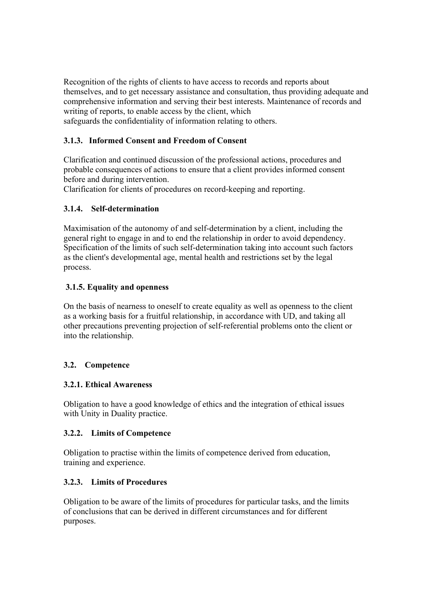Recognition of the rights of clients to have access to records and reports about themselves, and to get necessary assistance and consultation, thus providing adequate and comprehensive information and serving their best interests. Maintenance of records and writing of reports, to enable access by the client, which safeguards the confidentiality of information relating to others.

# **3.1.3. Informed Consent and Freedom of Consent**

Clarification and continued discussion of the professional actions, procedures and probable consequences of actions to ensure that a client provides informed consent before and during intervention.

Clarification for clients of procedures on record-keeping and reporting.

# **3.1.4. Self-determination**

Maximisation of the autonomy of and self-determination by a client, including the general right to engage in and to end the relationship in order to avoid dependency. Specification of the limits of such self-determination taking into account such factors as the client's developmental age, mental health and restrictions set by the legal process.

## **3.1.5. Equality and openness**

On the basis of nearness to oneself to create equality as well as openness to the client as a working basis for a fruitful relationship, in accordance with UD, and taking all other precautions preventing projection of self-referential problems onto the client or into the relationship.

# **3.2. Competence**

#### **3.2.1. Ethical Awareness**

Obligation to have a good knowledge of ethics and the integration of ethical issues with Unity in Duality practice.

#### **3.2.2. Limits of Competence**

Obligation to practise within the limits of competence derived from education, training and experience.

# **3.2.3. Limits of Procedures**

Obligation to be aware of the limits of procedures for particular tasks, and the limits of conclusions that can be derived in different circumstances and for different purposes.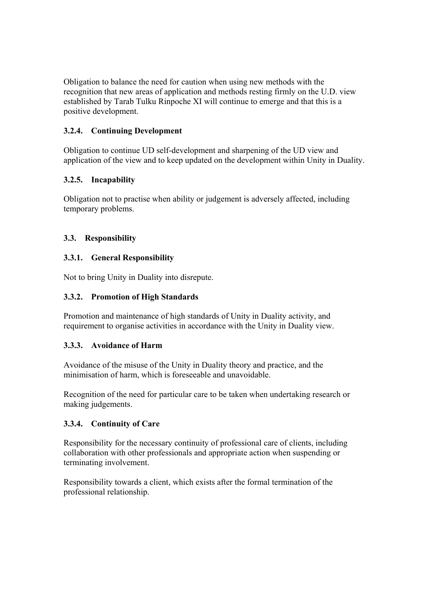Obligation to balance the need for caution when using new methods with the recognition that new areas of application and methods resting firmly on the U.D. view established by Tarab Tulku Rinpoche XI will continue to emerge and that this is a positive development.

## **3.2.4. Continuing Development**

Obligation to continue UD self-development and sharpening of the UD view and application of the view and to keep updated on the development within Unity in Duality.

## **3.2.5. Incapability**

Obligation not to practise when ability or judgement is adversely affected, including temporary problems.

## **3.3. Responsibility**

## **3.3.1. General Responsibility**

Not to bring Unity in Duality into disrepute.

#### **3.3.2. Promotion of High Standards**

Promotion and maintenance of high standards of Unity in Duality activity, and requirement to organise activities in accordance with the Unity in Duality view.

#### **3.3.3. Avoidance of Harm**

Avoidance of the misuse of the Unity in Duality theory and practice, and the minimisation of harm, which is foreseeable and unavoidable.

Recognition of the need for particular care to be taken when undertaking research or making judgements.

#### **3.3.4. Continuity of Care**

Responsibility for the necessary continuity of professional care of clients, including collaboration with other professionals and appropriate action when suspending or terminating involvement.

Responsibility towards a client, which exists after the formal termination of the professional relationship.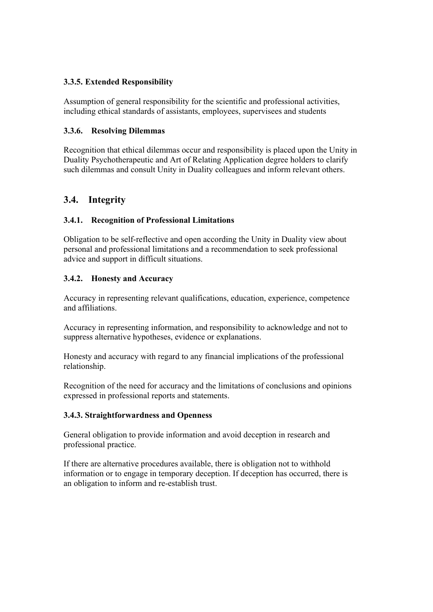## **3.3.5. Extended Responsibility**

Assumption of general responsibility for the scientific and professional activities, including ethical standards of assistants, employees, supervisees and students

### **3.3.6. Resolving Dilemmas**

Recognition that ethical dilemmas occur and responsibility is placed upon the Unity in Duality Psychotherapeutic and Art of Relating Application degree holders to clarify such dilemmas and consult Unity in Duality colleagues and inform relevant others.

# **3.4. Integrity**

# **3.4.1. Recognition of Professional Limitations**

Obligation to be self-reflective and open according the Unity in Duality view about personal and professional limitations and a recommendation to seek professional advice and support in difficult situations.

# **3.4.2. Honesty and Accuracy**

Accuracy in representing relevant qualifications, education, experience, competence and affiliations.

Accuracy in representing information, and responsibility to acknowledge and not to suppress alternative hypotheses, evidence or explanations.

Honesty and accuracy with regard to any financial implications of the professional relationship.

Recognition of the need for accuracy and the limitations of conclusions and opinions expressed in professional reports and statements.

#### **3.4.3. Straightforwardness and Openness**

General obligation to provide information and avoid deception in research and professional practice.

If there are alternative procedures available, there is obligation not to withhold information or to engage in temporary deception. If deception has occurred, there is an obligation to inform and re-establish trust.